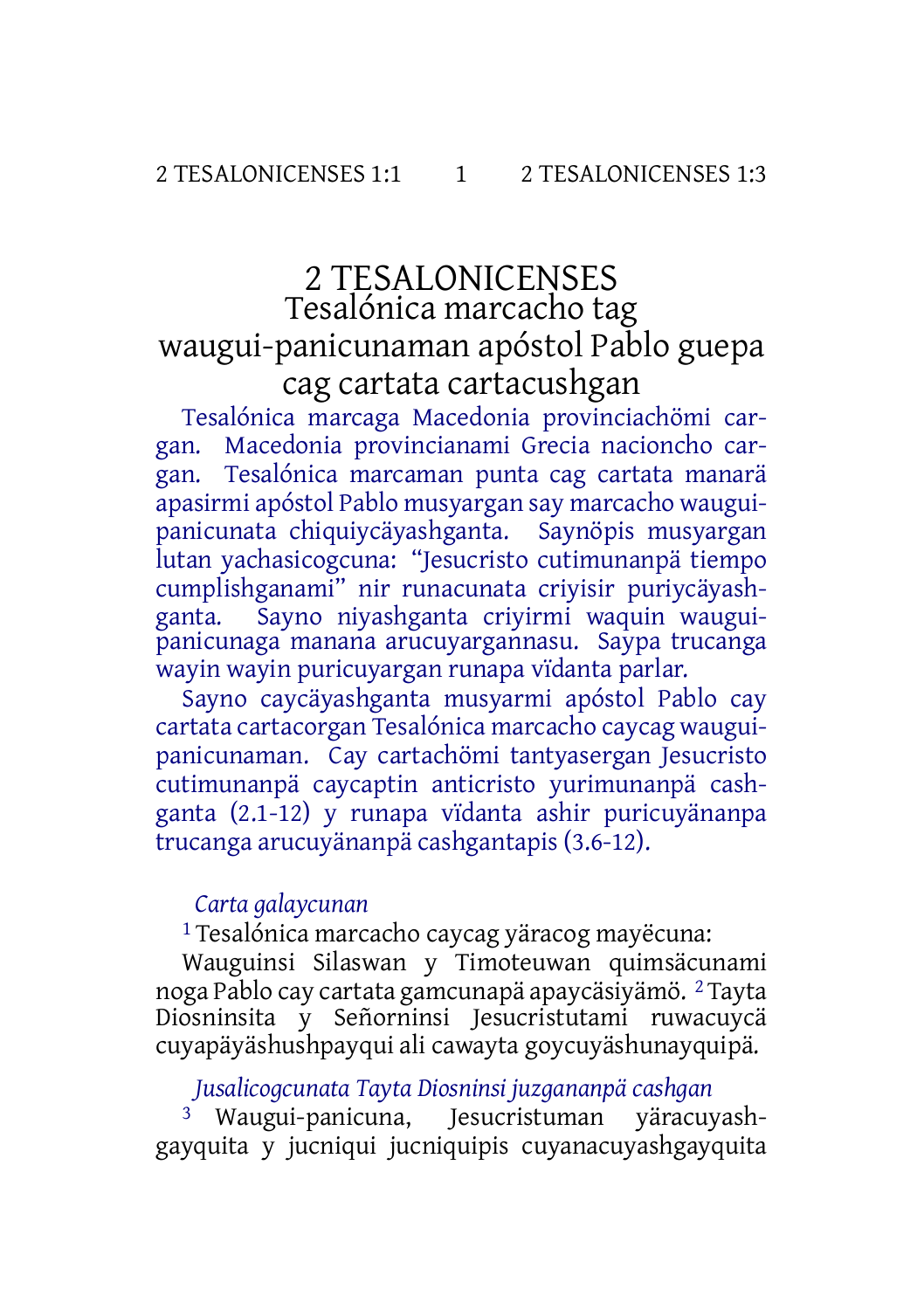# 2 TESALONICENSES Tesalónica marcacho tag waugui-panicunaman apóstol Pablo guepa cag cartata cartacushgan

Tesalónica marcaga Macedonia provinciachömi cargan. Macedonia provincianami Grecia nacioncho cargan. Tesalónica marcaman punta cag cartata manarä apasirmi apóstol Pablo musyargan say marcacho wauguipanicunata chiquiycäyashganta. Saynöpis musyargan lutan yachasicogcuna: "Jesucristo cutimunanpä tiempo cumplishganami" nir runacunata criyisir puriycäyashganta. Sayno niyashganta criyirmi waquin wauguipanicunaga manana arucuyargannasu. Saypa trucanga wayin wayin puricuyargan runapa vïdanta parlar.

Sayno caycäyashganta musyarmi apóstol Pablo cay cartata cartacorgan Tesalónica marcacho caycag wauguipanicunaman. Cay cartachömi tantyasergan Jesucristo cutimunanpä caycaptin anticristo yurimunanpä cashganta (2.1-12) y runapa vïdanta ashir puricuyänanpa trucanga arucuyänanpä cashgantapis (3.6-12).

### *Carta galaycunan*

1 Tesalónica marcacho caycag yäracog mayëcuna:

Wauguinsi Silaswan y Timoteuwan quimsäcunami noga Pablo cay cartata gamcunapä apaycäsiyämö. 2 Tayta Diosninsita y Señorninsi Jesucristutami ruwacuycä cuyapäyäshushpayqui ali cawayta goycuyäshunayquipä.

#### *Jusalicogcunata Tayta Diosninsi juzgananpä cashgan*

3 Waugui-panicuna, Jesucristuman yäracuyashgayquita y jucniqui jucniquipis cuyanacuyashgayquita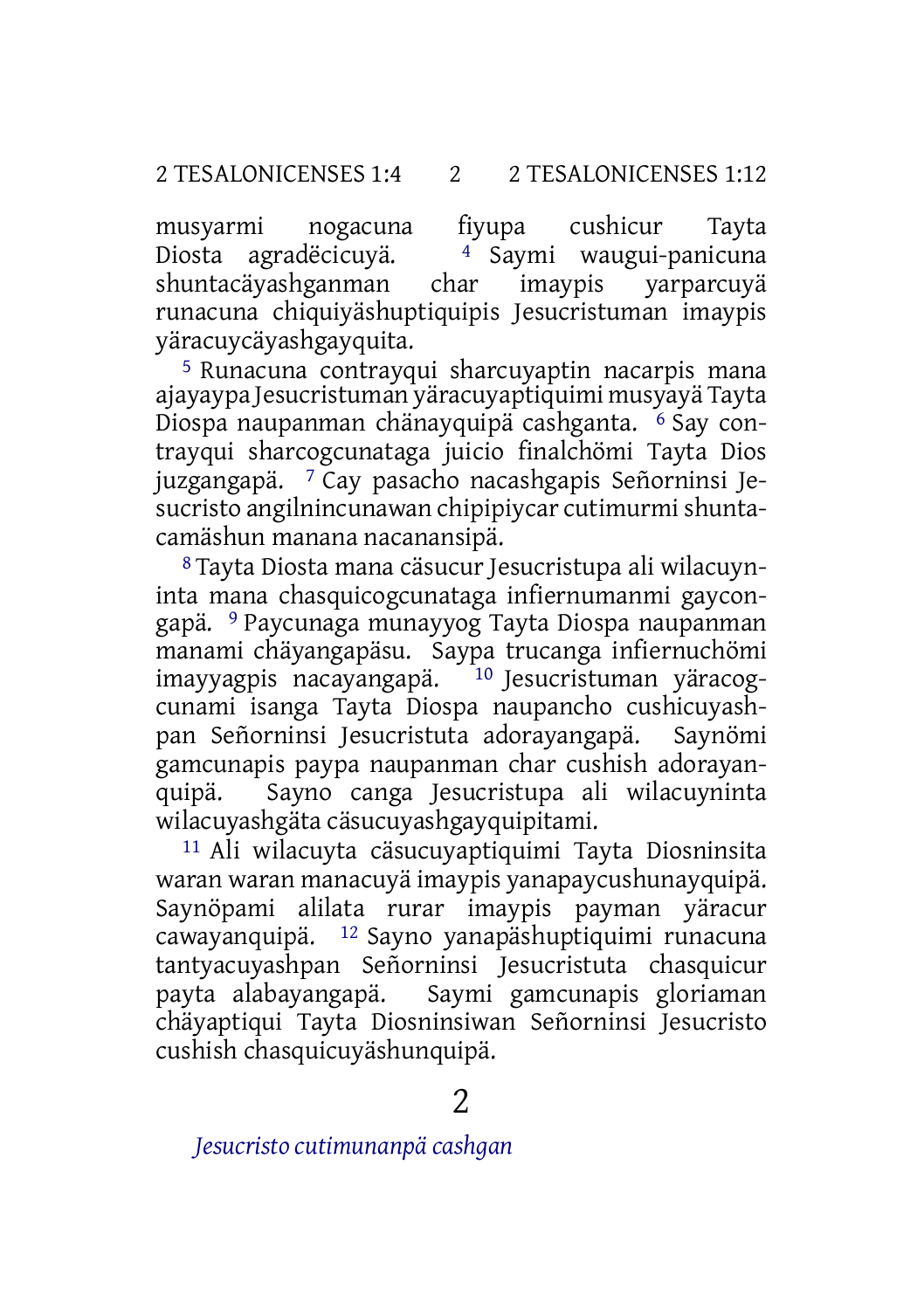musyarmi nogacuna fiyupa cushicur Tayta<br>Diosta agradëcicuyä. <sup>4</sup> Saymi waugui-panicuna Diosta agradëcicuyä. <sup>4</sup> Saymi waugui-panicuna<br>shuntacäyashganman char imaypis yarparcuyä shuntacäyashganman char imaypis yarparcuyä runacuna chiquiyäshuptiquipis Jesucristuman imaypis yäracuycäyashgayquita.

5 Runacuna contrayqui sharcuyaptin nacarpis mana ajayaypa Jesucristuman yäracuyaptiquimi musyayä Tayta Diospa naupanman chänayquipä cashganta. 6 Say contrayqui sharcogcunataga juicio finalchömi Tayta Dios juzgangapä. 7 Cay pasacho nacashgapis Señorninsi Jesucristo angilnincunawan chipipiycar cutimurmishuntacamäshun manana nacanansipä.

8 Tayta Diosta mana cäsucur Jesucristupa ali wilacuyninta mana chasquicogcunataga infiernumanmi gaycongapä. 9 Paycunaga munayyog Tayta Diospa naupanman manami chäyangapäsu. Saypa trucanga infiernuchömi imayyagpis nacayangapä. <sup>10</sup> Jesucristuman yäracogcunami isanga Tayta Diospa naupancho cushicuyashpan Señorninsi Jesucristuta adorayangapä. Saynömi gamcunapis paypa naupanman char cushish adorayanquipä. Sayno canga Jesucristupa ali wilacuyninta wilacuyashgäta cäsucuyashgayquipitami.

11 Ali wilacuyta cäsucuyaptiquimi Tayta Diosninsita waran waran manacuyä imaypis yanapaycushunayquipä. Saynöpami alilata rurar imaypis payman yäracur cawayanquipä. 12 Sayno yanapäshuptiquimi runacuna tantyacuyashpan Señorninsi Jesucristuta chasquicur payta alabayangapä. Saymi gamcunapis gloriaman chäyaptiqui Tayta Diosninsiwan Señorninsi Jesucristo cushish chasquicuyäshunquipä.

*Jesucristo cutimunanpä cashgan*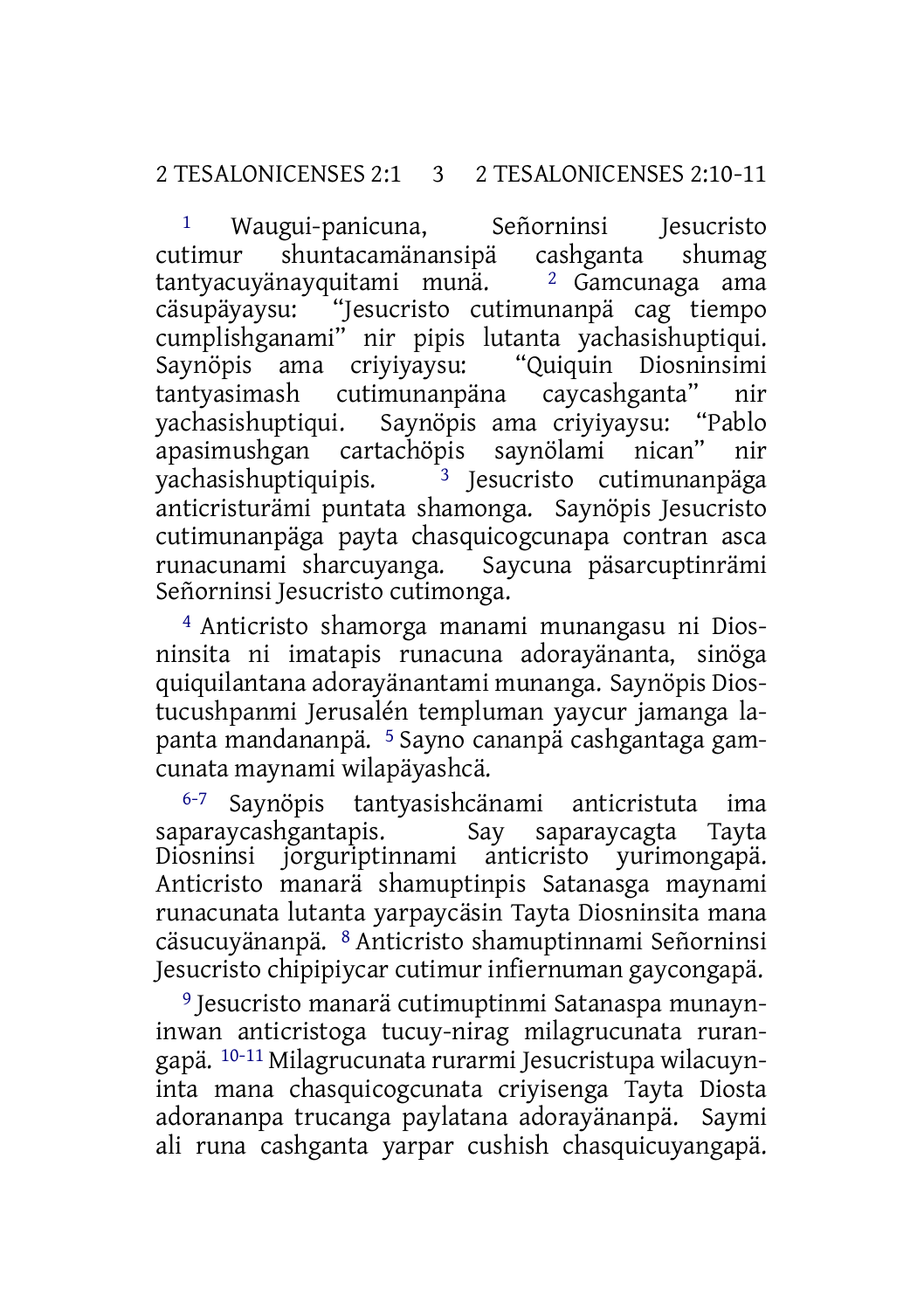#### 2 TESALONICENSES 2:1 3 2 TESALONICENSES 2:10-11

1 Waugui-panicuna, Señorninsi Jesucristo cutimur shuntacamänansipä cashganta shumag tantyacuyänayquitami munä. <sup>2</sup> Gamcunaga ama<br>cäsupäyaysu: "Jesucristo cutimunanpä cag tiempo "Jesucristo cutimunanpä cag tiempo cumplishganami" nir pipis lutanta yachasishuptiqui. Saynöpis ama criyiyaysu: "Quiquin Diosninsimi cutimunanpäna caycashganta" nir yachasishuptiqui. Saynöpis ama criyiyaysu: "Pablo apasimushgan cartachöpis saynölami nican" nir yachasishuptiquipis. 3 Jesucristo cutimunanpäga anticristurämi puntata shamonga. Saynöpis Jesucristo cutimunanpäga payta chasquicogcunapa contran asca runacunami sharcuyanga. Saycuna päsarcuptinrämi Señorninsi Jesucristo cutimonga.

4 Anticristo shamorga manami munangasu ni Diosninsita ni imatapis runacuna adorayänanta, sinöga quiquilantana adorayänantami munanga. Saynöpis Diostucushpanmi Jerusalén templuman yaycur jamanga lapanta mandananpä. 5 Sayno cananpä cashgantaga gamcunata maynami wilapäyashcä.

6-7 Saynöpis tantyasishcänami anticristuta ima saparaycashgantapis. Say saparaycagta Tayta Diosninsi jorguriptinnami anticristo yurimongapä. Anticristo manarä shamuptinpis Satanasga maynami runacunata lutanta yarpaycäsin Tayta Diosninsita mana cäsucuyänanpä. 8 Anticristo shamuptinnami Señorninsi Jesucristo chipipiycar cutimur infiernuman gaycongapä.

9 Jesucristo manarä cutimuptinmi Satanaspa munayninwan anticristoga tucuy-nirag milagrucunata rurangapä. 10-11 Milagrucunata rurarmi Jesucristupa wilacuyninta mana chasquicogcunata criyisenga Tayta Diosta adorananpa trucanga paylatana adorayänanpä. Saymi ali runa cashganta yarpar cushish chasquicuyangapä.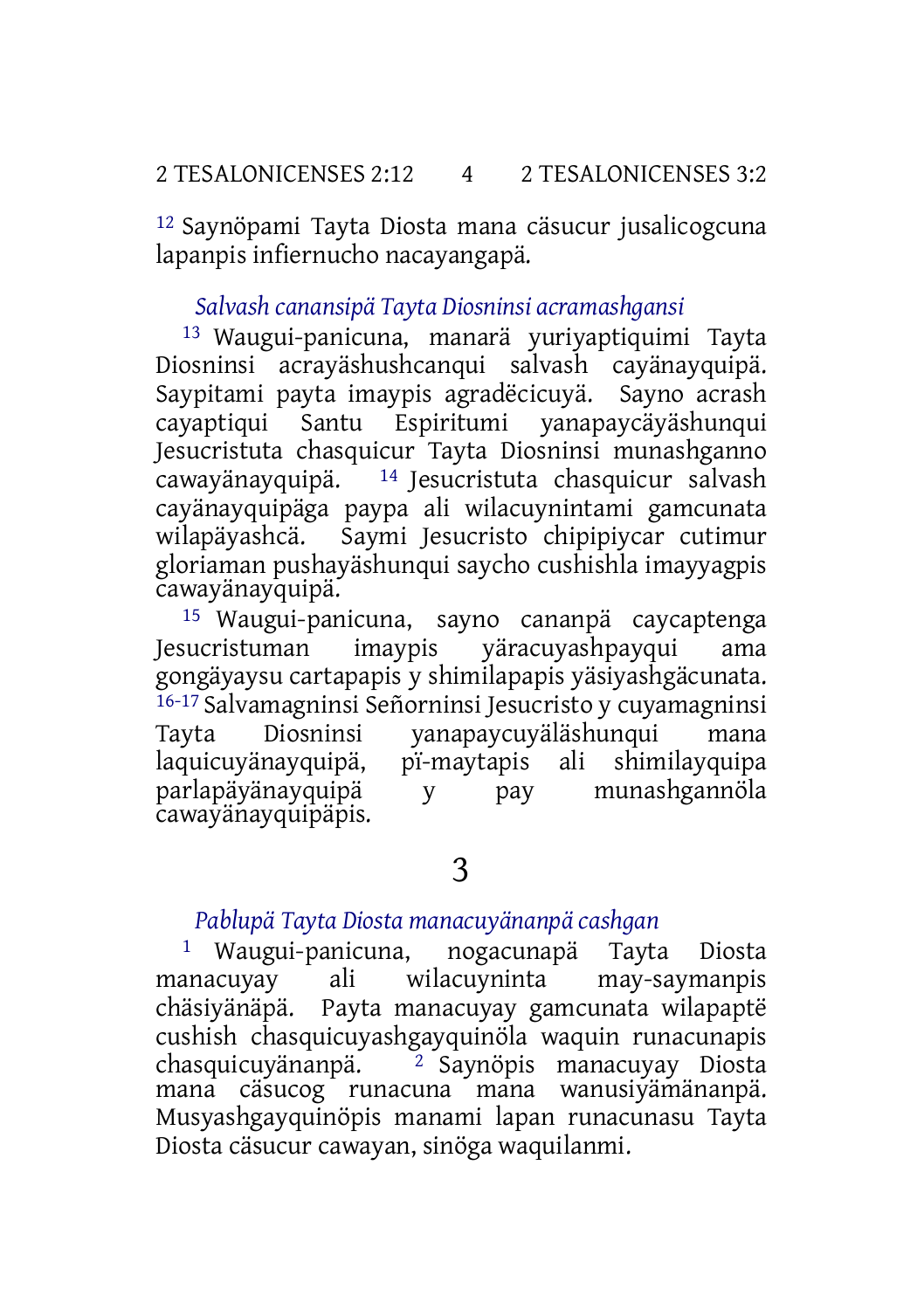12 Saynöpami Tayta Diosta mana cäsucur jusalicogcuna lapanpis infiernucho nacayangapä.

#### *Salvash canansipä Tayta Diosninsi acramashgansi*

13 Waugui-panicuna, manarä yuriyaptiquimi Tayta Diosninsi acrayäshushcanqui salvash cayänayquipä. Saypitami payta imaypis agradëcicuyä. Sayno acrash cayaptiqui Santu Espiritumi yanapaycäyäshunqui Jesucristuta chasquicur Tayta Diosninsi munashganno cawayänayquipä.  $14$  Jesucristuta chasquicur salvash cayänayquipäga paypa ali wilacuynintami gamcunata wilapäyashcä. Saymi Jesucristo chipipiycar cutimur gloriaman pushayäshunqui saycho cushishla imayyagpis cawayänayquipä.

15 Waugui-panicuna, sayno cananpä caycaptenga Jesucristuman imaypis yäracuyashpayqui ama gongäyaysu cartapapis y shimilapapis yäsiyashgäcunata. 16-17 Salvamagninsi Señorninsi Jesucristo y cuyamagninsi Tayta Diosninsi yanapaycuyäläshunqui mana laquicuyänayquipä, pï-maytapis ali shimilayquipa parlapäyänayquipä y pay cawayänayquipäpis.

## 3

#### *Pablupä Tayta Diosta manacuyänanpä cashgan*

1 Waugui-panicuna, nogacunapä Tayta Diosta manacuyay ali wilacuyninta may-saymanpis<br>chäsiyänäpä. Payta-manacuyay-gamcunata-wilapaptë Payta manacuyay gamcunata wilapaptë cushish chasquicuyashgayquinöla waquin runacunapis<br>chasquicuvänanpä. <sup>2</sup> Savnöpis manacuvav Diosta <sup>2</sup> Saynöpis manacuyay Diosta mana cäsucog runacuna mana wanusiyämänanpä. Musyashgayquinöpis manami lapan runacunasu Tayta Diosta cäsucur cawayan, sinöga waquilanmi.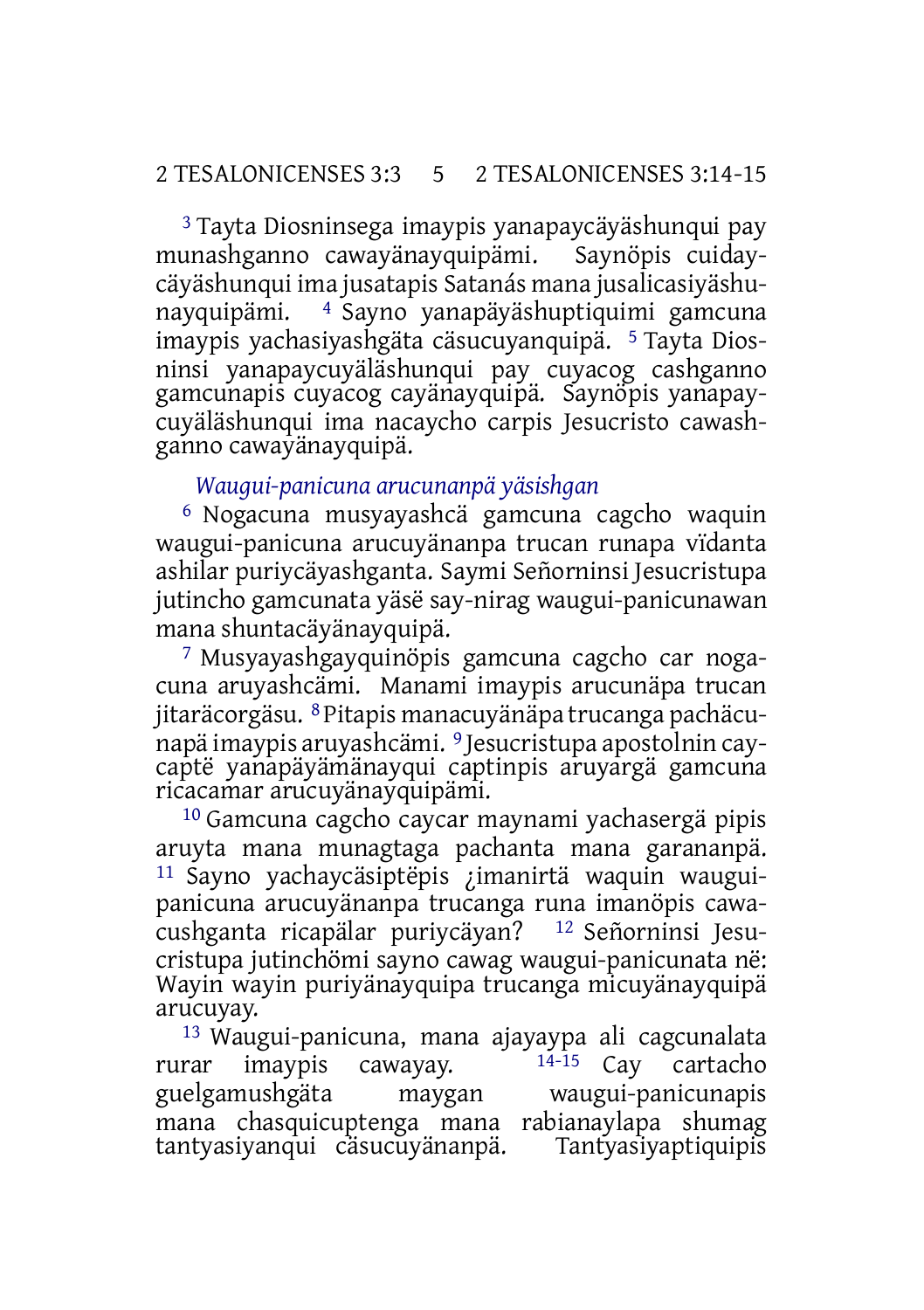3 Tayta Diosninsega imaypis yanapaycäyäshunqui pay munashganno cawayänayquipämi. Saynöpis cuidaycäyäshunqui ima jusatapis Satanás mana jusalicasiyäshunayquipämi. 4 Sayno yanapäyäshuptiquimi gamcuna imaypis yachasiyashgäta cäsucuyanquipä. 5 Tayta Diosninsi yanapaycuyäläshunqui pay cuyacog cashganno gamcunapis cuyacog cayänayquipä. Saynöpis yanapaycuyäläshunqui ima nacaycho carpis Jesucristo cawashganno cawayänayquipä.

#### *Waugui-panicuna arucunanpä yäsishgan*

6 Nogacuna musyayashcä gamcuna cagcho waquin waugui-panicuna arucuyänanpa trucan runapa vïdanta ashilar puriycäyashganta. Saymi Señorninsi Jesucristupa jutincho gamcunata yäsë say-nirag waugui-panicunawan mana shuntacäyänayquipä.

7 Musyayashgayquinöpis gamcuna cagcho car nogacuna aruyashcämi. Manami imaypis arucunäpa trucan jitaräcorgäsu. 8Pitapis manacuyänäpa trucanga pachäcunapä imaypis aruyashcämi. 9 Jesucristupa apostolnin caycaptë yanapäyämänayqui captinpis aruyargä gamcuna ricacamar arucuyänayquipämi.

10 Gamcuna cagcho caycar maynami yachasergä pipis aruyta mana munagtaga pachanta mana garananpä. 11 Sayno yachaycäsiptëpis ¿imanirtä waquin wauguipanicuna arucuyänanpa trucanga runa imanöpis cawacushganta ricapälar puriycäyan? 12 Señorninsi Jesucristupa jutinchömi sayno cawag waugui-panicunata në: Wayin wayin puriyänayquipa trucanga micuyänayquipä arucuyay.

13 Waugui-panicuna, mana ajayaypa ali cagcunalata rurar imaypis cawayay.  $14-15$  Cay cartacho guelgamushgäta maygan waugui-panicunapis mana chasquicuptenga mana rabianaylapa shumag tantyasiyanqui cäsucuyänanpä.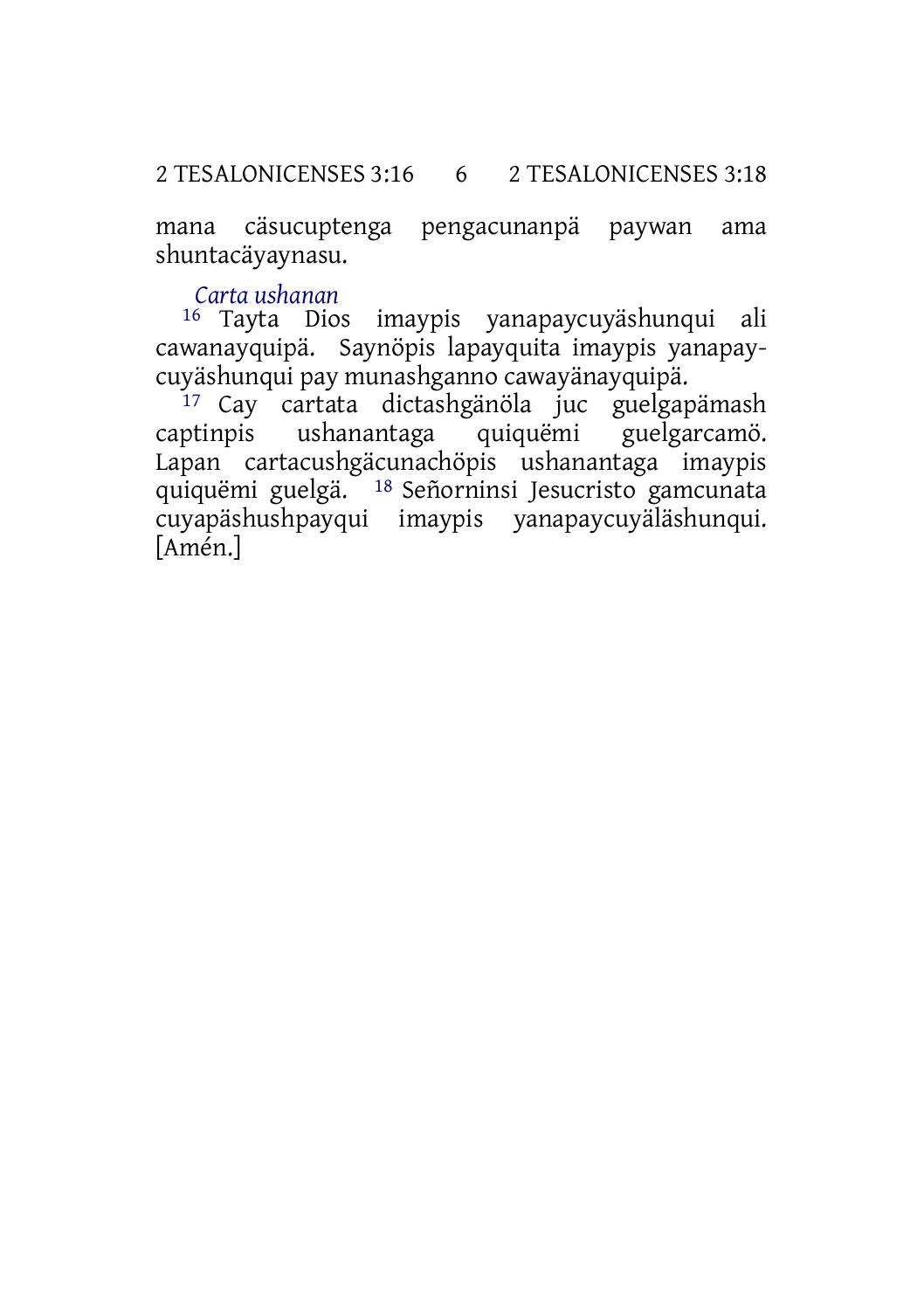mana cäsucuptenga pengacunanpä paywan ama shuntacäyaynasu.

*Carta ushanan*

16 Tayta Dios imaypis yanapaycuyäshunqui ali cawanayquipä. Saynöpis lapayquita imaypis yanapaycuyäshunqui pay munashganno cawayänayquipä.

17 Cay cartata dictashgänöla juc guelgapämash<br>ptinpis ushanantaga quiquëmi guelgarcamö. captinpis ushanantaga quiquëmi Lapan cartacushgäcunachöpis ushanantaga imaypis quiquëmi guelgä. 18 Señorninsi Jesucristo gamcunata cuyapäshushpayqui imaypis yanapaycuyäläshunqui. [Amén.]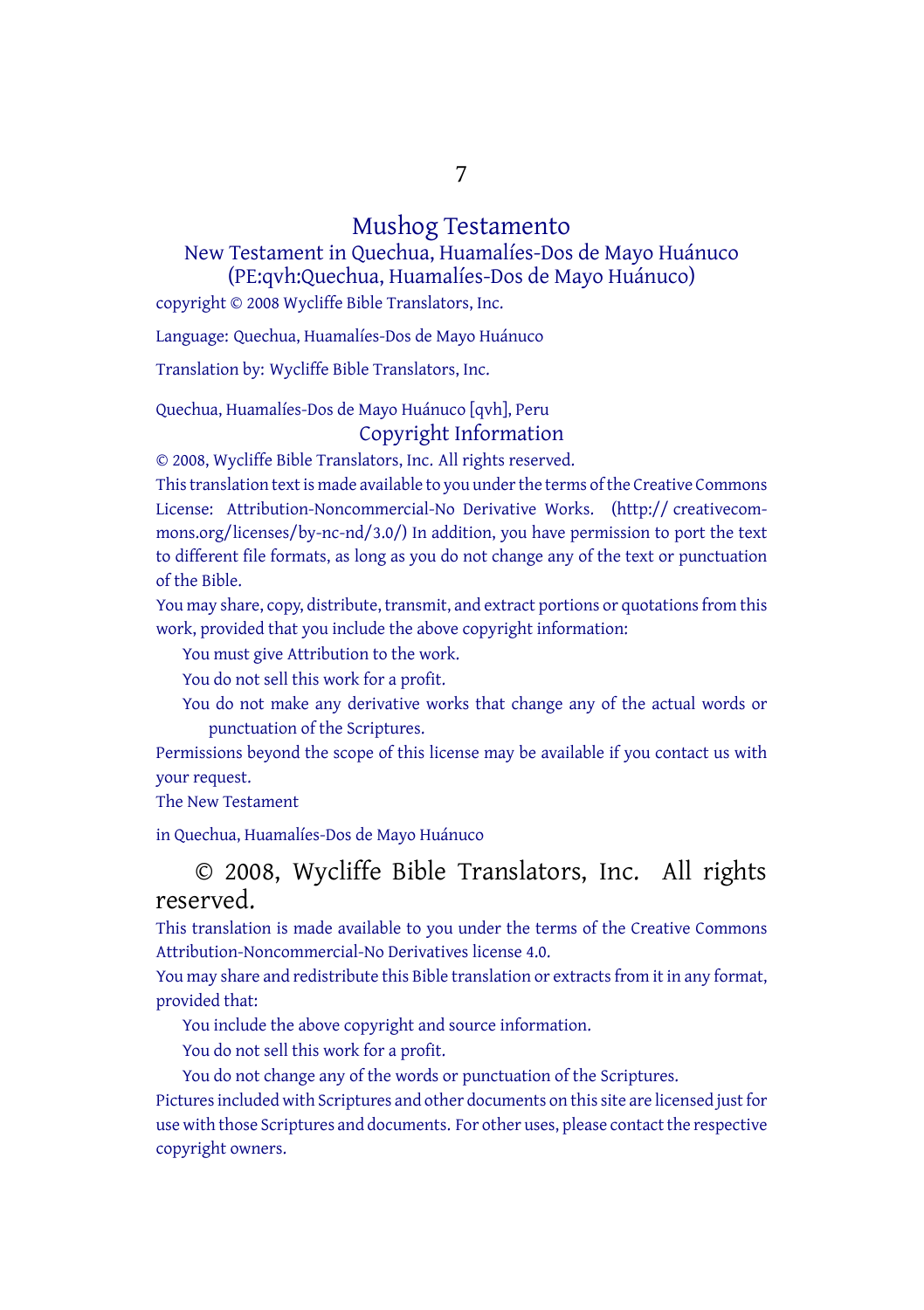7

#### Mushog Testamento

New Testament in Quechua, Huamalíes-Dos de Mayo Huánuco (PE:qvh:Quechua, Huamalíes-Dos de Mayo Huánuco)

copyright © 2008 Wycliffe Bible Translators, Inc.

Language: Quechua, Huamalíes-Dos de Mayo Huánuco

Translation by: Wycliffe Bible Translators, Inc.

Quechua, Huamalíes-Dos de Mayo Huánuco [qvh], Peru Copyright Information

© 2008, Wycliffe Bible Translators, Inc. All rights reserved.

This translation text is made available to you under the terms of the Creative [Commons](http://creativecommons.org/licenses/by-nc-nd/4.0/) License: [Attribution-Noncommercial-No](http://creativecommons.org/licenses/by-nc-nd/4.0/) Derivative Works. (http:// creativecommons.org/licenses/by-nc-nd/3.0/) In addition, you have permission to port the text to different file formats, as long as you do not change any of the text or punctuation of the Bible.

You may share, copy, distribute, transmit, and extract portions or quotations from this work, provided that you include the above copyright information:

You must give Attribution to the work.

You do not sell this work for a profit.

You do not make any derivative works that change any of the actual words or punctuation of the Scriptures.

Permissions beyond the scope of this license may be available if you contact us with your request.

The New Testament

in Quechua, Huamalíes-Dos de Mayo Huánuco

© 2008, Wycliffe Bible Translators, Inc. All rights reserved.

This translation is made available to you under the terms of the Creative Commons Attribution-Noncommercial-No Derivatives license 4.0.

You may share and redistribute this Bible translation or extracts from it in any format, provided that:

You include the above copyright and source information.

You do not sell this work for a profit.

You do not change any of the words or punctuation of the Scriptures.

Pictures included with Scriptures and other documents on this site are licensed just for use with those Scriptures and documents. For other uses, please contact the respective copyright owners.